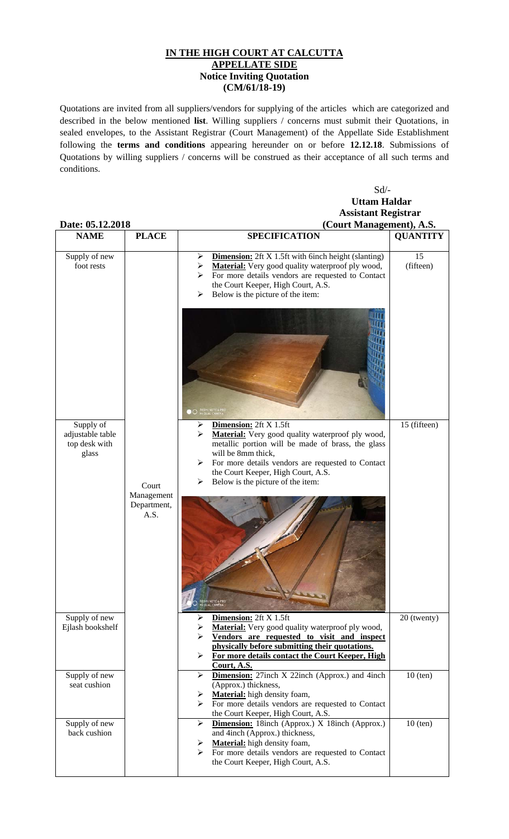## **IN THE HIGH COURT AT CALCUTTA APPELLATE SIDE Notice Inviting Quotation (CM/61/18-19)**

Quotations are invited from all suppliers/vendors for supplying of the articles which are categorized and described in the below mentioned **list**. Willing suppliers / concerns must submit their Quotations, in sealed envelopes, to the Assistant Registrar (Court Management) of the Appellate Side Establishment following the **terms and conditions** appearing hereunder on or before **12.12.18**. Submissions of Quotations by willing suppliers / concerns will be construed as their acceptance of all such terms and conditions.

Sd/-

|                                                         |                                   | <b>Uttam Haldar</b><br><b>Assistant Registrar</b>                                                                                                                                                                                                                                                    |                 |  |
|---------------------------------------------------------|-----------------------------------|------------------------------------------------------------------------------------------------------------------------------------------------------------------------------------------------------------------------------------------------------------------------------------------------------|-----------------|--|
| Date: 05.12.2018                                        |                                   | (Court Management), A.S.                                                                                                                                                                                                                                                                             |                 |  |
| <b>NAME</b>                                             | <b>PLACE</b>                      | <b>SPECIFICATION</b>                                                                                                                                                                                                                                                                                 | <b>QUANTITY</b> |  |
| Supply of new<br>foot rests                             |                                   | <b>Dimension:</b> 2ft X 1.5ft with 6inch height (slanting)<br>➤<br>Material: Very good quality waterproof ply wood,<br>➤<br>For more details vendors are requested to Contact<br>➤<br>the Court Keeper, High Court, A.S.<br>Below is the picture of the item:<br>⋗                                   | 15<br>(fifteen) |  |
|                                                         |                                   | <b>OO</b> REDMI NOTE & PRO                                                                                                                                                                                                                                                                           |                 |  |
| Supply of<br>adjustable table<br>top desk with<br>glass | Court                             | Dimension: 2ft X 1.5ft<br>➤<br>Material: Very good quality waterproof ply wood,<br>metallic portion will be made of brass, the glass<br>will be 8mm thick,<br>For more details vendors are requested to Contact<br>≻<br>the Court Keeper, High Court, A.S.<br>Below is the picture of the item:<br>⋗ | 15 (fifteen)    |  |
|                                                         | Management<br>Department,<br>A.S. | REDMI NOTE & PRO<br>HI DUAL CAMERA                                                                                                                                                                                                                                                                   |                 |  |
| Supply of new<br>Ejlash bookshelf                       |                                   | Dimension: 2ft X 1.5ft<br>Material: Very good quality waterproof ply wood,<br>⋗<br>Vendors are requested to visit and inspect<br>physically before submitting their quotations.<br>For more details contact the Court Keeper, High<br>➤<br>Court, A.S.                                               | 20 (twenty)     |  |
| Supply of new<br>seat cushion                           |                                   | <b>Dimension:</b> 27inch X 22inch (Approx.) and 4inch<br>➤<br>(Approx.) thickness,<br>Material: high density foam,<br>➤<br>For more details vendors are requested to Contact<br>the Court Keeper, High Court, A.S.                                                                                   | $10$ (ten)      |  |
| Supply of new<br>back cushion                           |                                   | <b>Dimension:</b> 18inch (Approx.) X 18inch (Approx.)<br>⋗<br>and 4inch (Approx.) thickness,<br>Material: high density foam,<br>➤<br>For more details vendors are requested to Contact<br>⋗<br>the Court Keeper, High Court, A.S.                                                                    | $10$ (ten)      |  |

 $\overline{\phantom{a}}$